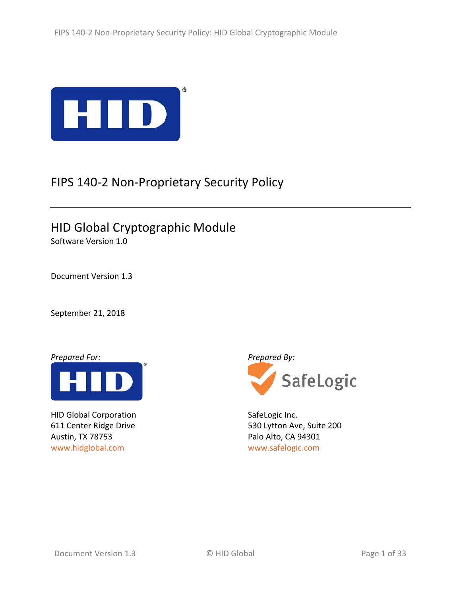

# FIPS 140-2 Non-Proprietary Security Policy

HID Global Cryptographic Module Software Version 1.0

Document Version 1.3

September 21, 2018

*Prepared For: Prepared By:*



HID Global Corporation 611 Center Ridge Drive Austin, TX 78753 [www.hidglobal.com](http://www.hidglobal.com/)

SafeLogic

SafeLogic Inc. 530 Lytton Ave, Suite 200 Palo Alto, CA 94301 [www.safelogic.com](https://www.safelogic.com/)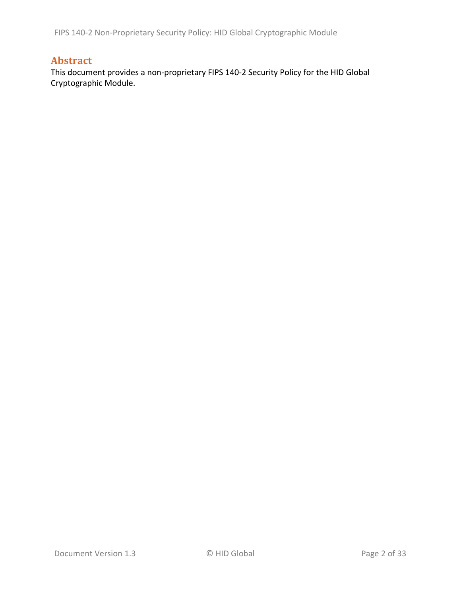FIPS 140-2 Non-Proprietary Security Policy: HID Global Cryptographic Module

### **Abstract**

This document provides a non-proprietary FIPS 140-2 Security Policy for the HID Global Cryptographic Module.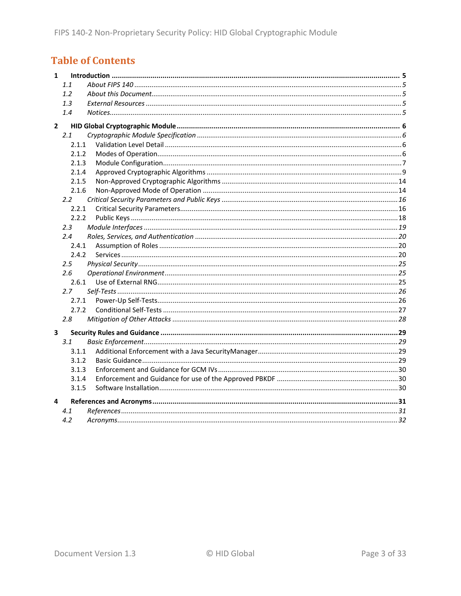## **Table of Contents**

| $\mathbf{1}$   |               |  |
|----------------|---------------|--|
|                | 1.1           |  |
|                | 1.2           |  |
|                | 1.3           |  |
|                | 1.4           |  |
| $\overline{2}$ |               |  |
|                | 2.1           |  |
|                | 2.1.1         |  |
|                | 2.1.2         |  |
|                | 2.1.3         |  |
|                | 2.1.4         |  |
|                | 2.1.5         |  |
|                | 2.1.6         |  |
|                | 2.2           |  |
|                | 2.2.1         |  |
|                | 2.2.2         |  |
|                | $2.3^{\circ}$ |  |
|                | 2.4           |  |
|                | 2.4.1         |  |
|                | 2.4.2         |  |
|                | 2.5           |  |
|                | 2.6           |  |
|                | 2.6.1         |  |
|                | 2.7           |  |
|                | 2.7.1         |  |
|                | 2.7.2         |  |
|                | 2.8           |  |
| 3              |               |  |
|                | 3.1           |  |
|                | 3.1.1         |  |
|                | 3.1.2         |  |
|                | 3.1.3         |  |
|                | 3.1.4         |  |
|                | 3.1.5         |  |
| 4              |               |  |
|                | 4.1           |  |
|                | 4.2           |  |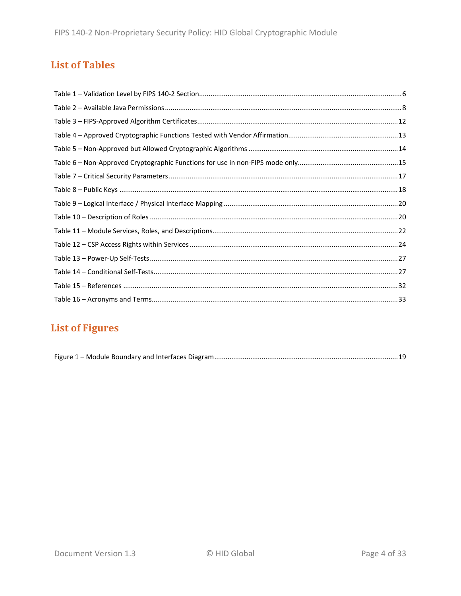## **List of Tables**

## **List of Figures**

|--|--|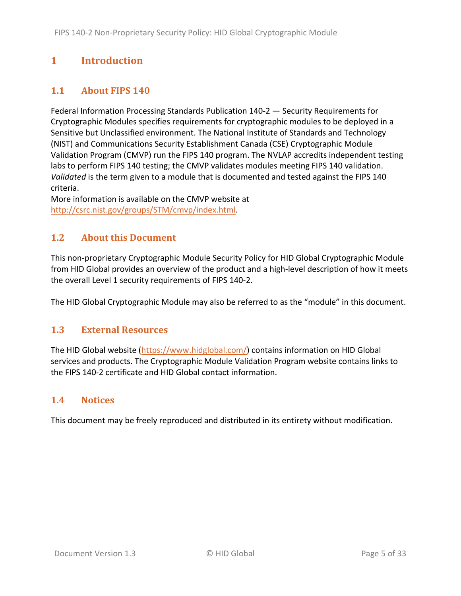## <span id="page-4-0"></span>**1 Introduction**

### <span id="page-4-1"></span>**1.1 About FIPS 140**

Federal Information Processing Standards Publication 140-2 — Security Requirements for Cryptographic Modules specifies requirements for cryptographic modules to be deployed in a Sensitive but Unclassified environment. The National Institute of Standards and Technology (NIST) and Communications Security Establishment Canada (CSE) Cryptographic Module Validation Program (CMVP) run the FIPS 140 program. The NVLAP accredits independent testing labs to perform FIPS 140 testing; the CMVP validates modules meeting FIPS 140 validation. *Validated* is the term given to a module that is documented and tested against the FIPS 140 criteria.

More information is available on the CMVP website at [http://csrc.nist.gov/groups/STM/cmvp/index.html.](http://csrc.nist.gov/groups/STM/cmvp/index.html)

### <span id="page-4-2"></span>**1.2 About this Document**

This non-proprietary Cryptographic Module Security Policy for HID Global Cryptographic Module from HID Global provides an overview of the product and a high-level description of how it meets the overall Level 1 security requirements of FIPS 140-2.

<span id="page-4-3"></span>The HID Global Cryptographic Module may also be referred to as the "module" in this document.

#### **1.3 External Resources**

The HID Global website [\(https://www.hidglobal.com/\)](https://www.hidglobal.com/) contains information on HID Global services and products. The Cryptographic Module Validation Program website contains links to the FIPS 140-2 certificate and HID Global contact information.

#### <span id="page-4-4"></span>**1.4 Notices**

This document may be freely reproduced and distributed in its entirety without modification.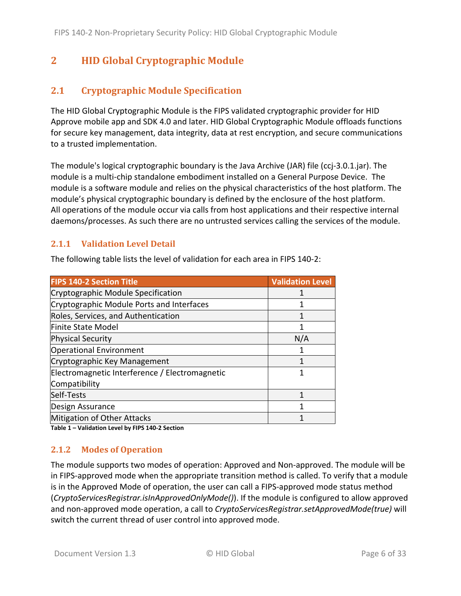## <span id="page-5-0"></span>**2 HID Global Cryptographic Module**

### <span id="page-5-1"></span>**2.1 Cryptographic Module Specification**

The HID Global Cryptographic Module is the FIPS validated cryptographic provider for HID Approve mobile app and SDK 4.0 and later. HID Global Cryptographic Module offloads functions for secure key management, data integrity, data at rest encryption, and secure communications to a trusted implementation.

The module's logical cryptographic boundary is the Java Archive (JAR) file (ccj-3.0.1.jar). The module is a multi-chip standalone embodiment installed on a General Purpose Device. The module is a software module and relies on the physical characteristics of the host platform. The module's physical cryptographic boundary is defined by the enclosure of the host platform. All operations of the module occur via calls from host applications and their respective internal daemons/processes. As such there are no untrusted services calling the services of the module.

#### <span id="page-5-2"></span>**2.1.1 Validation Level Detail**

The following table lists the level of validation for each area in FIPS 140-2:

| <b>FIPS 140-2 Section Title</b>                | <b>Validation Level</b> |
|------------------------------------------------|-------------------------|
| Cryptographic Module Specification             |                         |
| Cryptographic Module Ports and Interfaces      |                         |
| Roles, Services, and Authentication            |                         |
| Finite State Model                             | 1                       |
| <b>Physical Security</b>                       | N/A                     |
| <b>Operational Environment</b>                 |                         |
| Cryptographic Key Management                   |                         |
| Electromagnetic Interference / Electromagnetic |                         |
| Compatibility                                  |                         |
| Self-Tests                                     | 1                       |
| Design Assurance                               |                         |
| Mitigation of Other Attacks                    |                         |

<span id="page-5-3"></span>**Table 1 – Validation Level by FIPS 140-2 Section**

#### **2.1.2 Modes of Operation**

The module supports two modes of operation: Approved and Non-approved. The module will be in FIPS-approved mode when the appropriate transition method is called. To verify that a module is in the Approved Mode of operation, the user can call a FIPS-approved mode status method (*CryptoServicesRegistrar.isInApprovedOnlyMode()*). If the module is configured to allow approved and non-approved mode operation, a call to *CryptoServicesRegistrar.setApprovedMode(true)* will switch the current thread of user control into approved mode.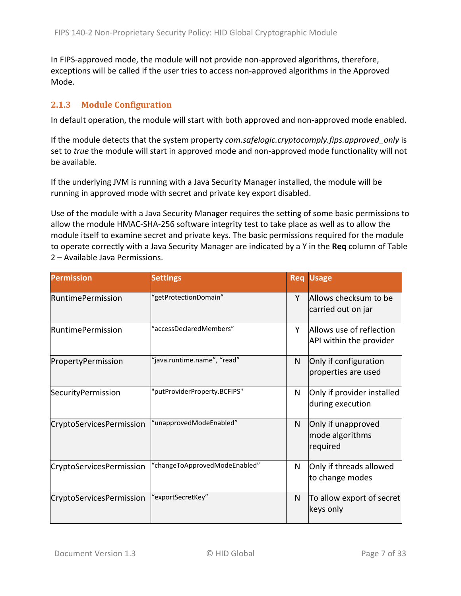In FIPS-approved mode, the module will not provide non-approved algorithms, therefore, exceptions will be called if the user tries to access non-approved algorithms in the Approved Mode.

#### <span id="page-6-0"></span>**2.1.3 Module Configuration**

In default operation, the module will start with both approved and non-approved mode enabled.

If the module detects that the system property *com.safelogic.cryptocomply.fips.approved\_only* is set to *true* the module will start in approved mode and non-approved mode functionality will not be available.

If the underlying JVM is running with a Java Security Manager installed, the module will be running in approved mode with secret and private key export disabled.

Use of the module with a Java Security Manager requires the setting of some basic permissions to allow the module HMAC-SHA-256 software integrity test to take place as well as to allow the module itself to examine secret and private keys. The basic permissions required for the module to operate correctly with a Java Security Manager are indicated by a Y in the **Req** column of [Table](#page-7-0)  2 – [Available Java Permissions.](#page-7-0)

| <b>Permission</b>        | <b>Settings</b>               | <b>Req</b> | <b>Usage</b>                                        |
|--------------------------|-------------------------------|------------|-----------------------------------------------------|
| <b>RuntimePermission</b> | "getProtectionDomain"         | Y          | Allows checksum to be<br>carried out on jar         |
| <b>RuntimePermission</b> | "accessDeclaredMembers"       | Υ          | Allows use of reflection<br>API within the provider |
| PropertyPermission       | "java.runtime.name", "read"   | N          | Only if configuration<br>properties are used        |
| SecurityPermission       | 'putProviderProperty.BCFIPS"  | N          | Only if provider installed<br>during execution      |
| CryptoServicesPermission | "unapprovedModeEnabled"       | N          | Only if unapproved<br>mode algorithms<br>required   |
| CryptoServicesPermission | "changeToApprovedModeEnabled" | N          | Only if threads allowed<br>to change modes          |
| CryptoServicesPermission | 'exportSecretKey"             | N          | To allow export of secret<br>keys only              |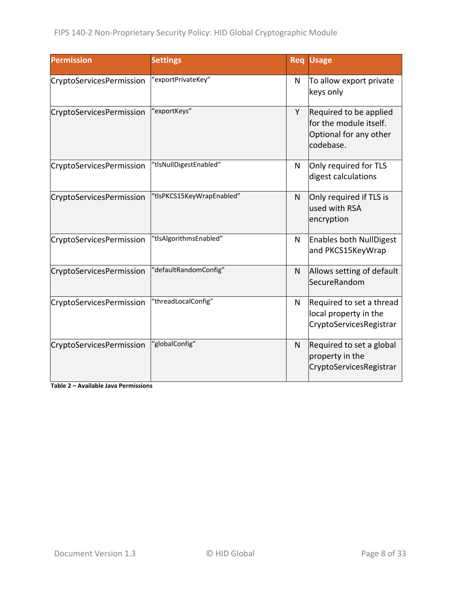| <b>Permission</b>               | <b>Settings</b>           |              | <b>Req Usage</b>                                                                        |
|---------------------------------|---------------------------|--------------|-----------------------------------------------------------------------------------------|
| CryptoServicesPermission        | "exportPrivateKey"        | N            | To allow export private<br>keys only                                                    |
| CryptoServicesPermission        | 'exportKeys"              | Y            | Required to be applied<br>for the module itself.<br>Optional for any other<br>codebase. |
| CryptoServicesPermission        | "tlsNullDigestEnabled"    | N            | Only required for TLS<br>digest calculations                                            |
| CryptoServicesPermission        | "tlsPKCS15KeyWrapEnabled" | $\mathsf{N}$ | Only required if TLS is<br>used with RSA<br>encryption                                  |
| CryptoServicesPermission        | "tlsAlgorithmsEnabled"    | N            | <b>Enables both NullDigest</b><br>and PKCS15KeyWrap                                     |
| CryptoServicesPermission        | "defaultRandomConfig"     | N            | Allows setting of default<br><b>SecureRandom</b>                                        |
| <b>CryptoServicesPermission</b> | "threadLocalConfig"       | N            | Required to set a thread<br>local property in the<br>CryptoServicesRegistrar            |
| CryptoServicesPermission        | "globalConfig"            | N            | Required to set a global<br>property in the<br>CryptoServicesRegistrar                  |

<span id="page-7-0"></span>**Table 2 – Available Java Permissions**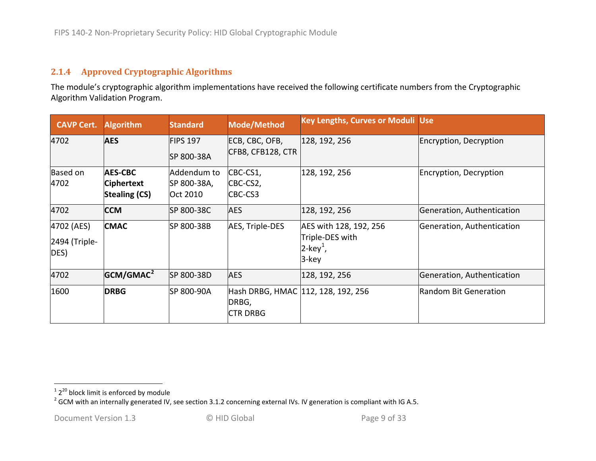#### <span id="page-8-2"></span><span id="page-8-1"></span>**2.1.4 Approved Cryptographic Algorithms**

The module's cryptographic algorithm implementations have received the following certificate numbers from the Cryptographic Algorithm Validation Program.

<span id="page-8-0"></span>

| <b>CAVP Cert.</b>                   | <b>Algorithm</b>                                            | <b>Standard</b>                        | Mode/Method                                                    | <b>Key Lengths, Curves or Moduli Use</b>                                      |                            |
|-------------------------------------|-------------------------------------------------------------|----------------------------------------|----------------------------------------------------------------|-------------------------------------------------------------------------------|----------------------------|
| 4702                                | <b>AES</b>                                                  | <b>FIPS 197</b><br>SP 800-38A          | ECB, CBC, OFB,<br>CFB8, CFB128, CTR                            | 128, 192, 256                                                                 | Encryption, Decryption     |
| Based on<br>4702                    | <b>AES-CBC</b><br><b>Ciphertext</b><br><b>Stealing (CS)</b> | Addendum to<br>SP 800-38A,<br>Oct 2010 | CBC-CS1,<br>CBC-CS2,<br>CBC-CS3                                | 128, 192, 256                                                                 | Encryption, Decryption     |
| 4702                                | <b>CCM</b>                                                  | SP 800-38C                             | <b>AES</b>                                                     | 128, 192, 256                                                                 | Generation, Authentication |
| 4702 (AES)<br>2494 (Triple-<br>DES) | <b>CMAC</b>                                                 | SP 800-38B                             | AES, Triple-DES                                                | AES with 128, 192, 256<br>Triple-DES with<br>$2$ -key <sup>1</sup> ,<br>3-key | Generation, Authentication |
| 4702                                | GCM/GMAC <sup>2</sup>                                       | SP 800-38D                             | <b>AES</b>                                                     | 128, 192, 256                                                                 | Generation, Authentication |
| 1600                                | <b>DRBG</b>                                                 | SP 800-90A                             | Hash DRBG, HMAC 112, 128, 192, 256<br>DRBG,<br><b>CTR DRBG</b> |                                                                               | Random Bit Generation      |

 $12^{20}$  block limit is enforced by module<br>
<sup>2</sup> GCM with an internally generated IV, see section [3.1.2](#page-28-4) concerning external IVs. IV generation is compliant with IG A.5.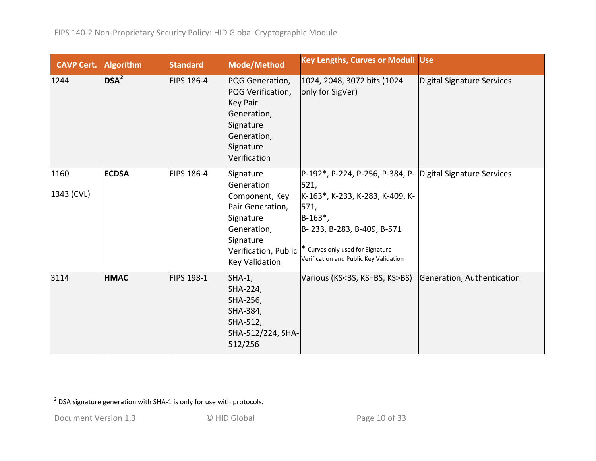<span id="page-9-0"></span>

| <b>CAVP Cert.</b> | <b>Algorithm</b> | <b>Standard</b> | Mode/Method                                                                                                                     | <b>Key Lengths, Curves or Moduli Use</b>                                                                                                                           |                            |
|-------------------|------------------|-----------------|---------------------------------------------------------------------------------------------------------------------------------|--------------------------------------------------------------------------------------------------------------------------------------------------------------------|----------------------------|
| 1244              | $DSA^2$          | FIPS 186-4      | PQG Generation,<br>PQG Verification,<br><b>Key Pair</b><br>Generation,<br>Signature<br>Generation,<br>Signature<br>Verification | 1024, 2048, 3072 bits (1024)<br>only for SigVer)                                                                                                                   | Digital Signature Services |
| 1160              | <b>ECDSA</b>     | FIPS 186-4      | Signature<br>Generation                                                                                                         | P-192*, P-224, P-256, P-384, P- Digital Signature Services<br>521,                                                                                                 |                            |
| 1343 (CVL)        |                  |                 | Component, Key<br>Pair Generation,<br>Signature<br>Generation,<br>Signature<br>Verification, Public<br><b>Key Validation</b>    | K-163*, K-233, K-283, K-409, K-<br>571,<br>$B-163^*$ ,<br>B-233, B-283, B-409, B-571<br>* Curves only used for Signature<br>Verification and Public Key Validation |                            |
| 3114              | <b>HMAC</b>      | FIPS 198-1      | $SHA-1$ ,<br>SHA-224,<br>SHA-256,<br>SHA-384,<br>SHA-512,<br>SHA-512/224, SHA-<br>512/256                                       | Various (KS <bs, ks="">BS)</bs,>                                                                                                                                   | Generation, Authentication |

 $2$  DSA signature generation with SHA-1 is only for use with protocols.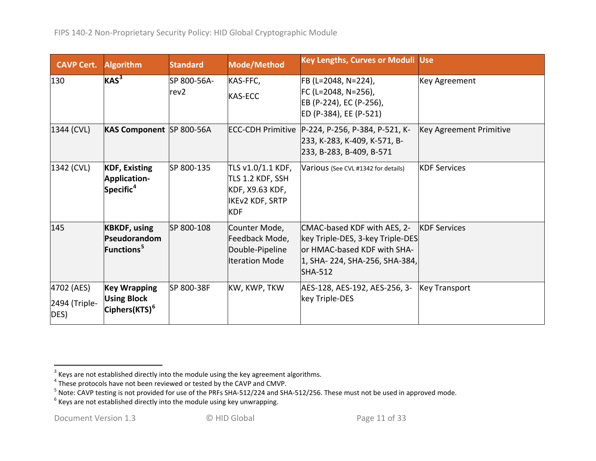<span id="page-10-3"></span><span id="page-10-2"></span><span id="page-10-1"></span><span id="page-10-0"></span>

| <b>CAVP Cert.</b>                   | <b>Algorithm</b>                                                       | <b>Standard</b>                 | Mode/Method                                                                                      | <b>Key Lengths, Curves or Moduli Use</b>                                                                                                           |                         |
|-------------------------------------|------------------------------------------------------------------------|---------------------------------|--------------------------------------------------------------------------------------------------|----------------------------------------------------------------------------------------------------------------------------------------------------|-------------------------|
| 130                                 | $KAS^3$                                                                | SP 800-56A-<br>rev <sub>2</sub> | KAS-FFC,<br><b>KAS-ECC</b>                                                                       | FB (L=2048, N=224),<br>FC (L=2048, N=256),<br>EB (P-224), EC (P-256),<br>ED (P-384), EE (P-521)                                                    | Key Agreement           |
| 1344 (CVL)                          | KAS Component SP 800-56A                                               |                                 |                                                                                                  | ECC-CDH Primitive   P-224, P-256, P-384, P-521, K-<br>233, K-283, K-409, K-571, B-<br>233, B-283, B-409, B-571                                     | Key Agreement Primitive |
| 1342 (CVL)                          | <b>KDF, Existing</b><br>Application-<br>Specific <sup>4</sup>          | SP 800-135                      | TLS v1.0/1.1 KDF,<br>TLS 1.2 KDF, SSH<br>KDF, X9.63 KDF,<br><b>IKEV2 KDF, SRTP</b><br><b>KDF</b> | Various (See CVL #1342 for details)                                                                                                                | <b>KDF Services</b>     |
| 145                                 | <b>KBKDF, using</b><br>Pseudorandom<br>Functions <sup>5</sup>          | SP 800-108                      | Counter Mode,<br>Feedback Mode,<br>Double-Pipeline<br><b>Iteration Mode</b>                      | CMAC-based KDF with AES, 2-<br>key Triple-DES, 3-key Triple-DES<br>or HMAC-based KDF with SHA-<br>1, SHA- 224, SHA-256, SHA-384,<br><b>SHA-512</b> | <b>KDF Services</b>     |
| 4702 (AES)<br>2494 (Triple-<br>DES) | <b>Key Wrapping</b><br><b>Using Block</b><br>Ciphers(KTS) <sup>6</sup> | SP 800-38F                      | KW, KWP, TKW                                                                                     | AES-128, AES-192, AES-256, 3-<br>key Triple-DES                                                                                                    | <b>Key Transport</b>    |

 $\frac{3}{3}$  Keys are not established directly into the module using the key agreement algorithms.

 $^4$  These protocols have not been reviewed or tested by the CAVP and CMVP.

<sup>&</sup>lt;sup>5</sup> Note: CAVP testing is not provided for use of the PRFs SHA-512/224 and SHA-512/256. These must not be used in approved mode.<br><sup>6</sup> Keys are not established directly into the module using key unwrapping.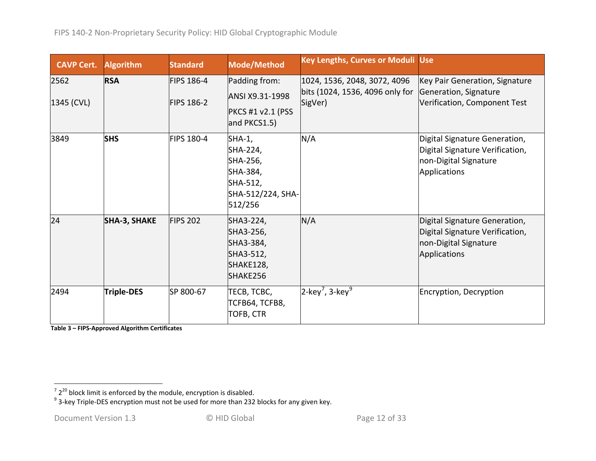<span id="page-11-1"></span><span id="page-11-0"></span>

| <b>CAVP Cert.</b>  | <b>Algorithm</b>    | <b>Standard</b>                        | Mode/Method                                                                            | <b>Key Lengths, Curves or Moduli Use</b>                                   |                                                                                                           |
|--------------------|---------------------|----------------------------------------|----------------------------------------------------------------------------------------|----------------------------------------------------------------------------|-----------------------------------------------------------------------------------------------------------|
| 2562<br>1345 (CVL) | <b>RSA</b>          | <b>FIPS 186-4</b><br><b>FIPS 186-2</b> | Padding from:<br>ANSI X9.31-1998<br>PKCS #1 v2.1 (PSS<br>and PKCS1.5)                  | 1024, 1536, 2048, 3072, 4096<br>bits (1024, 1536, 4096 only for<br>SigVer) | Key Pair Generation, Signature<br>Generation, Signature<br>Verification, Component Test                   |
| 3849               | <b>SHS</b>          | <b>FIPS 180-4</b>                      | SHA-1,<br>SHA-224,<br>SHA-256,<br>SHA-384,<br>SHA-512,<br>SHA-512/224, SHA-<br>512/256 | N/A                                                                        | Digital Signature Generation,<br>Digital Signature Verification,<br>non-Digital Signature<br>Applications |
| 24                 | <b>SHA-3, SHAKE</b> | <b>FIPS 202</b>                        | SHA3-224,<br>SHA3-256,<br>SHA3-384,<br>SHA3-512,<br>SHAKE128,<br>SHAKE256              | N/A                                                                        | Digital Signature Generation,<br>Digital Signature Verification,<br>non-Digital Signature<br>Applications |
| 2494               | Triple-DES          | SP 800-67                              | TECB, TCBC,<br><b>TCFB64, TCFB8,</b><br><b>TOFB, CTR</b>                               | $ 2$ -key <sup>7</sup> , 3-key <sup>9</sup>                                | Encryption, Decryption                                                                                    |

**Table 3 – FIPS-Approved Algorithm Certificates**

 $\frac{1}{2}$   $\frac{1}{2^{20}}$  block limit is enforced by the module, encryption is disabled.<br><sup>9</sup> 3-key Triple-DES encryption must not be used for more than 232 blocks for any given key.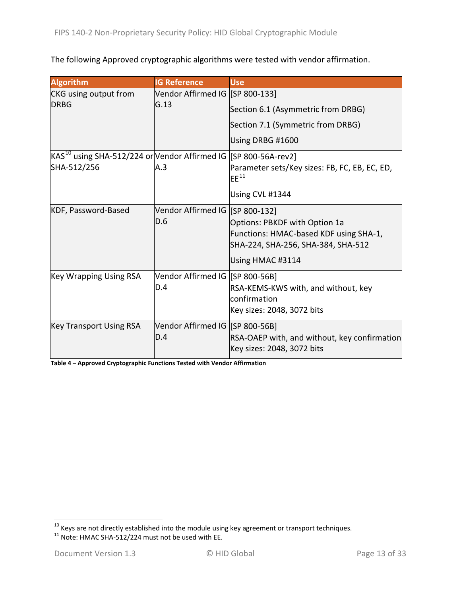The following Approved cryptographic algorithms were tested with vendor affirmation.

| <b>Algorithm</b>                                                                                                    | <b>IG Reference</b>             | <b>Use</b>                                                                 |
|---------------------------------------------------------------------------------------------------------------------|---------------------------------|----------------------------------------------------------------------------|
| <b>CKG</b> using output from                                                                                        | Vendor Affirmed IG [SP 800-133] |                                                                            |
| <b>DRBG</b>                                                                                                         | G.13                            | Section 6.1 (Asymmetric from DRBG)                                         |
|                                                                                                                     |                                 | Section 7.1 (Symmetric from DRBG)                                          |
|                                                                                                                     |                                 | Using DRBG #1600                                                           |
| $\mathsf{KAS}^\mathsf{10}$ using SHA-512/224 or $\mathsf{Vendor}$ Affirmed IG $\mathsf{[SP}\,800\text{-}56$ A-rev2] |                                 |                                                                            |
| SHA-512/256                                                                                                         | A.3                             | Parameter sets/Key sizes: FB, FC, EB, EC, ED,<br>$EF^{11}$                 |
|                                                                                                                     |                                 | Using CVL #1344                                                            |
| Vendor Affirmed IG [SP 800-132]<br>KDF, Password-Based                                                              |                                 |                                                                            |
|                                                                                                                     | D.6                             | Options: PBKDF with Option 1a                                              |
|                                                                                                                     |                                 | Functions: HMAC-based KDF using SHA-1,                                     |
|                                                                                                                     |                                 | SHA-224, SHA-256, SHA-384, SHA-512                                         |
|                                                                                                                     |                                 | Using HMAC #3114                                                           |
| <b>Key Wrapping Using RSA</b>                                                                                       | Vendor Affirmed IG [SP 800-56B] |                                                                            |
|                                                                                                                     | D.4                             | RSA-KEMS-KWS with, and without, key                                        |
|                                                                                                                     |                                 | confirmation                                                               |
|                                                                                                                     |                                 | Key sizes: 2048, 3072 bits                                                 |
| <b>Key Transport Using RSA</b>                                                                                      | Vendor Affirmed IG [SP 800-56B] |                                                                            |
|                                                                                                                     | D.4                             | RSA-OAEP with, and without, key confirmation<br>Key sizes: 2048, 3072 bits |

**Table 4 – Approved Cryptographic Functions Tested with Vendor Affirmation**

<span id="page-12-1"></span><span id="page-12-0"></span> $\frac{10}{10}$  Keys are not directly established into the module using key agreement or transport techniques.<br><sup>11</sup> Note: HMAC SHA-512/224 must not be used with EE.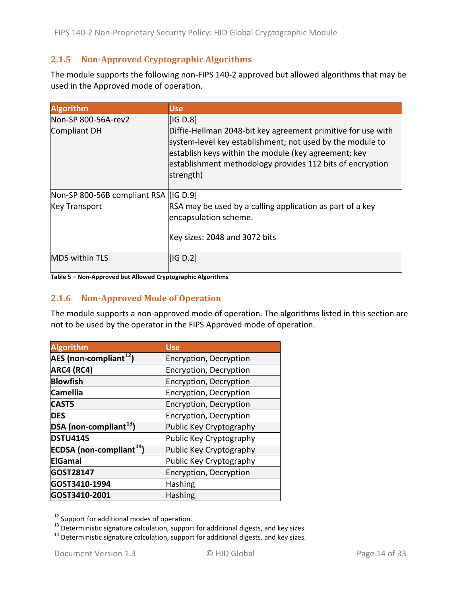### <span id="page-13-0"></span>**2.1.5 Non-Approved Cryptographic Algorithms**

The module supports the following non-FIPS 140-2 approved but allowed algorithms that may be used in the Approved mode of operation.

| <b>Algorithm</b>                      | <b>Use</b>                                                                                                                                                                                                                                                  |
|---------------------------------------|-------------------------------------------------------------------------------------------------------------------------------------------------------------------------------------------------------------------------------------------------------------|
| Non-SP 800-56A-rev2                   | [IG D.8]                                                                                                                                                                                                                                                    |
| Compliant DH                          | Diffie-Hellman 2048-bit key agreement primitive for use with<br>system-level key establishment; not used by the module to<br>establish keys within the module (key agreement; key<br>establishment methodology provides 112 bits of encryption<br>strength) |
| Non-SP 800-56B compliant RSA [IG D.9] |                                                                                                                                                                                                                                                             |
| <b>Key Transport</b>                  | RSA may be used by a calling application as part of a key<br>encapsulation scheme.                                                                                                                                                                          |
|                                       | Key sizes: 2048 and 3072 bits                                                                                                                                                                                                                               |
| <b>MD5 within TLS</b>                 | IG D.2                                                                                                                                                                                                                                                      |

#### <span id="page-13-1"></span>**Table 5 – Non-Approved but Allowed Cryptographic Algorithms**

#### **2.1.6 Non-Approved Mode of Operation**

The module supports a non-approved mode of operation. The algorithms listed in this section are not to be used by the operator in the FIPS Approved mode of operation.

| <b>Algorithm</b>                     | Use                     |
|--------------------------------------|-------------------------|
| AES (non-compliant <sup>12</sup> )   | Encryption, Decryption  |
| ARC4 (RC4)                           | Encryption, Decryption  |
| <b>Blowfish</b>                      | Encryption, Decryption  |
| <b>Camellia</b>                      | Encryption, Decryption  |
| <b>CAST5</b>                         | Encryption, Decryption  |
| <b>DES</b>                           | Encryption, Decryption  |
| DSA (non-compliant <sup>13</sup> )   | Public Key Cryptography |
| <b>DSTU4145</b>                      | Public Key Cryptography |
| ECDSA (non-compliant <sup>14</sup> ) | Public Key Cryptography |
| <b>ElGamal</b>                       | Public Key Cryptography |
| GOST28147                            | Encryption, Decryption  |
| GOST3410-1994                        | <b>Hashing</b>          |
| GOST3410-2001                        | <b>Hashing</b>          |

<span id="page-13-2"></span><sup>&</sup>lt;sup>12</sup> Support for additional modes of operation.<br><sup>13</sup> Deterministic signature calculation, support for additional digests, and key sizes.<br><sup>14</sup> Deterministic signature calculation, support for additional digests, and key si

<span id="page-13-4"></span><span id="page-13-3"></span>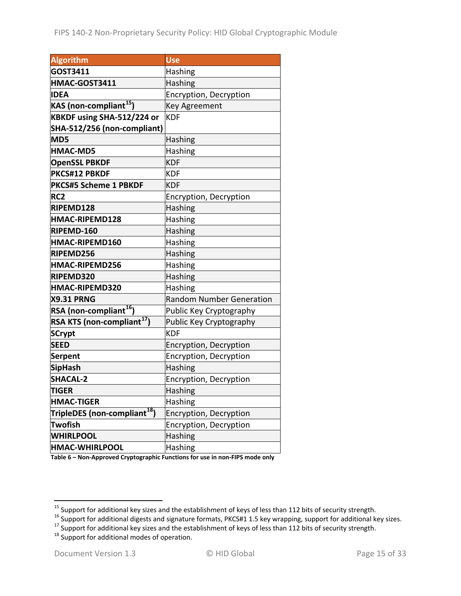| <b>Algorithm</b>                         | <b>Use</b>                      |
|------------------------------------------|---------------------------------|
| GOST3411                                 | Hashing                         |
| HMAC-GOST3411                            | <b>Hashing</b>                  |
| <b>IDEA</b>                              | Encryption, Decryption          |
| KAS (non-compliant <sup>15</sup> )       | <b>Key Agreement</b>            |
| KBKDF using SHA-512/224 or               | <b>KDF</b>                      |
| SHA-512/256 (non-compliant)              |                                 |
| MD5                                      | Hashing                         |
| <b>HMAC-MD5</b>                          | Hashing                         |
| <b>OpenSSL PBKDF</b>                     | <b>KDF</b>                      |
| PKCS#12 PBKDF                            | <b>KDF</b>                      |
| <b>PKCS#5 Scheme 1 PBKDF</b>             | <b>KDF</b>                      |
| RC <sub>2</sub>                          | Encryption, Decryption          |
| RIPEMD128                                | Hashing                         |
| HMAC-RIPEMD128                           | Hashing                         |
| RIPEMD-160                               | Hashing                         |
| HMAC-RIPEMD160                           | Hashing                         |
| RIPEMD256                                | Hashing                         |
| HMAC-RIPEMD256                           | Hashing                         |
| RIPEMD320                                | Hashing                         |
| HMAC-RIPEMD320                           | Hashing                         |
| <b>X9.31 PRNG</b>                        | <b>Random Number Generation</b> |
| RSA (non-compliant <sup>16</sup> )       | Public Key Cryptography         |
| RSA KTS (non-compliant <sup>17</sup> )   | Public Key Cryptography         |
| <b>SCrypt</b>                            | <b>KDF</b>                      |
| <b>SEED</b>                              | Encryption, Decryption          |
| <b>Serpent</b>                           | Encryption, Decryption          |
| <b>SipHash</b>                           | <b>Hashing</b>                  |
| <b>SHACAL-2</b>                          | Encryption, Decryption          |
| <b>TIGER</b>                             | Hashing                         |
| <b>HMAC-TIGER</b>                        | Hashing                         |
| TripleDES (non-compliant <sup>18</sup> ) | Encryption, Decryption          |
| <b>Twofish</b>                           | Encryption, Decryption          |
| <b>WHIRLPOOL</b>                         | <b>Hashing</b>                  |
| <b>HMAC-WHIRLPOOL</b>                    | Hashing                         |

**Table 6 – Non-Approved Cryptographic Functions for use in non-FIPS mode only**

<span id="page-14-1"></span><span id="page-14-0"></span><sup>&</sup>lt;sup>15</sup> Support for additional key sizes and the establishment of keys of less than 112 bits of security strength.<br><sup>16</sup> Support for additional digests and signature formats, PKCS#1 1.5 key wrapping, support for additional ke

<span id="page-14-3"></span><span id="page-14-2"></span>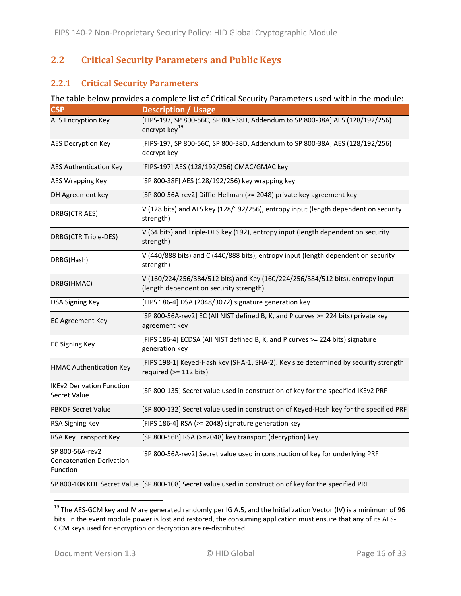### <span id="page-15-0"></span>**2.2 Critical Security Parameters and Public Keys**

#### <span id="page-15-1"></span>**2.2.1 Critical Security Parameters**

#### The table below provides a complete list of Critical Security Parameters used within the module:

| <b>CSP</b>                                                     | <b>Description / Usage</b>                                                                                                |
|----------------------------------------------------------------|---------------------------------------------------------------------------------------------------------------------------|
| <b>AES Encryption Key</b>                                      | [FIPS-197, SP 800-56C, SP 800-38D, Addendum to SP 800-38A] AES (128/192/256)<br>encrypt key <sup>19</sup>                 |
| <b>AES Decryption Key</b>                                      | [FIPS-197, SP 800-56C, SP 800-38D, Addendum to SP 800-38A] AES (128/192/256)<br>decrypt key                               |
| <b>AES Authentication Key</b>                                  | [FIPS-197] AES (128/192/256) CMAC/GMAC key                                                                                |
| <b>AES Wrapping Key</b>                                        | [SP 800-38F] AES (128/192/256) key wrapping key                                                                           |
| DH Agreement key                                               | [SP 800-56A-rev2] Diffie-Hellman (>= 2048) private key agreement key                                                      |
| DRBG(CTR AES)                                                  | V (128 bits) and AES key (128/192/256), entropy input (length dependent on security<br>strength)                          |
| DRBG(CTR Triple-DES)                                           | V (64 bits) and Triple-DES key (192), entropy input (length dependent on security<br>strength)                            |
| DRBG(Hash)                                                     | V (440/888 bits) and C (440/888 bits), entropy input (length dependent on security<br>strength)                           |
| DRBG(HMAC)                                                     | V (160/224/256/384/512 bits) and Key (160/224/256/384/512 bits), entropy input<br>(length dependent on security strength) |
| DSA Signing Key                                                | [FIPS 186-4] DSA (2048/3072) signature generation key                                                                     |
| <b>EC Agreement Key</b>                                        | [SP 800-56A-rev2] EC (All NIST defined B, K, and P curves >= 224 bits) private key<br>agreement key                       |
| <b>EC Signing Key</b>                                          | [FIPS 186-4] ECDSA (All NIST defined B, K, and P curves >= 224 bits) signature<br>generation key                          |
| <b>HMAC Authentication Key</b>                                 | [FIPS 198-1] Keyed-Hash key (SHA-1, SHA-2). Key size determined by security strength<br>required (>= 112 bits)            |
| <b>IKEv2 Derivation Function</b><br><b>Secret Value</b>        | [SP 800-135] Secret value used in construction of key for the specified IKEv2 PRF                                         |
| <b>PBKDF Secret Value</b>                                      | [SP 800-132] Secret value used in construction of Keyed-Hash key for the specified PRF                                    |
| <b>RSA Signing Key</b>                                         | [FIPS 186-4] RSA (>= 2048) signature generation key                                                                       |
| RSA Key Transport Key                                          | [SP 800-56B] RSA (>=2048) key transport (decryption) key                                                                  |
| SP 800-56A-rev2<br><b>Concatenation Derivation</b><br>Function | [SP 800-56A-rev2] Secret value used in construction of key for underlying PRF                                             |
|                                                                | SP 800-108 KDF Secret Value [[SP 800-108] Secret value used in construction of key for the specified PRF                  |

<span id="page-15-2"></span><sup>&</sup>lt;sup>19</sup> The AES-GCM key and IV are generated randomly per IG A.5, and the Initialization Vector (IV) is a minimum of 96 bits. In the event module power is lost and restored, the consuming application must ensure that any of its AES-GCM keys used for encryption or decryption are re-distributed.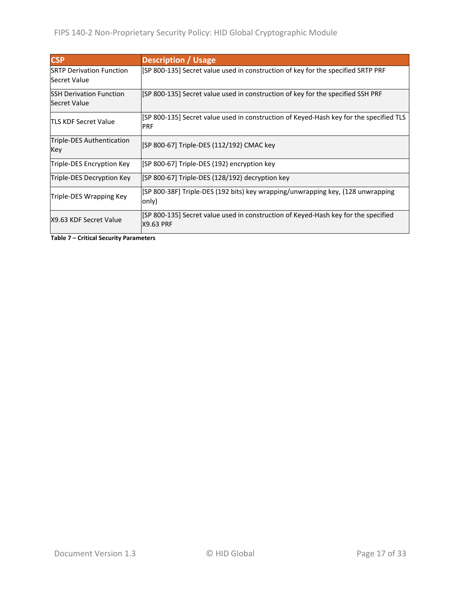| <b>CSP</b>                                              | <b>Description / Usage</b>                                                                             |
|---------------------------------------------------------|--------------------------------------------------------------------------------------------------------|
| <b>ISRTP Derivation Function</b><br><b>Secret Value</b> | [SP 800-135] Secret value used in construction of key for the specified SRTP PRF                       |
| <b>ISSH Derivation Function</b><br>Secret Value         | [SP 800-135] Secret value used in construction of key for the specified SSH PRF                        |
| <b>ITLS KDF Secret Value</b>                            | [SP 800-135] Secret value used in construction of Keyed-Hash key for the specified TLS<br><b>PRF</b>   |
| Triple-DES Authentication<br>Key                        | [SP 800-67] Triple-DES (112/192) CMAC key                                                              |
| Triple-DES Encryption Key                               | [SP 800-67] Triple-DES (192) encryption key                                                            |
| Triple-DES Decryption Key                               | [SP 800-67] Triple-DES (128/192) decryption key                                                        |
| Triple-DES Wrapping Key                                 | [SP 800-38F] Triple-DES (192 bits) key wrapping/unwrapping key, (128 unwrapping<br>only)               |
| X9.63 KDF Secret Value                                  | [SP 800-135] Secret value used in construction of Keyed-Hash key for the specified<br><b>X9.63 PRF</b> |

**Table 7 – Critical Security Parameters**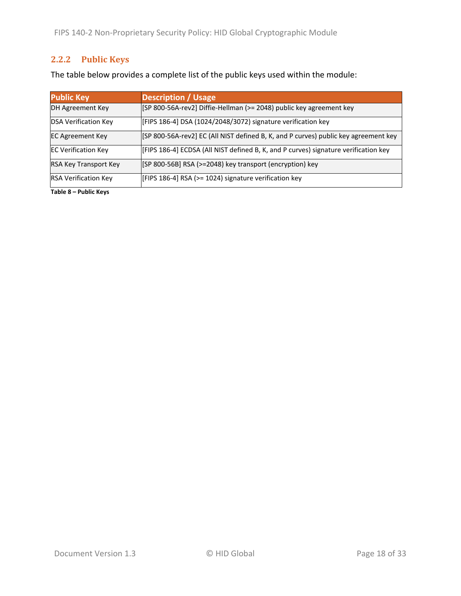### <span id="page-17-0"></span>**2.2.2 Public Keys**

The table below provides a complete list of the public keys used within the module:

| <b>Public Key</b>            | <b>Description / Usage</b>                                                          |
|------------------------------|-------------------------------------------------------------------------------------|
| DH Agreement Key             | [SP 800-56A-rev2] Diffie-Hellman (>= 2048) public key agreement key                 |
| <b>DSA Verification Key</b>  | [FIPS 186-4] DSA (1024/2048/3072) signature verification key                        |
| <b>EC Agreement Key</b>      | [SP 800-56A-rev2] EC (All NIST defined B, K, and P curves) public key agreement key |
| <b>EC Verification Key</b>   | [FIPS 186-4] ECDSA (All NIST defined B, K, and P curves) signature verification key |
| <b>RSA Key Transport Key</b> | [SP 800-56B] RSA (>=2048) key transport (encryption) key                            |
| <b>RSA Verification Key</b>  | [FIPS 186-4] RSA (>= 1024) signature verification key                               |

**Table 8 – Public Keys**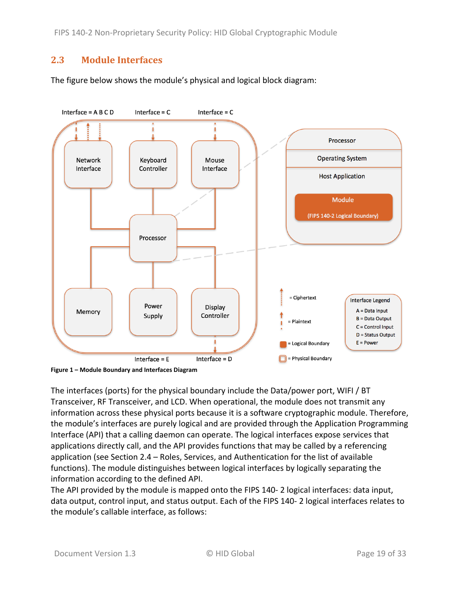FIPS 140-2 Non-Proprietary Security Policy: HID Global Cryptographic Module

### <span id="page-18-0"></span>**2.3 Module Interfaces**

The figure below shows the module's physical and logical block diagram:



<span id="page-18-1"></span>**Figure 1 – Module Boundary and Interfaces Diagram**

The interfaces (ports) for the physical boundary include the Data/power port, WIFI / BT Transceiver, RF Transceiver, and LCD. When operational, the module does not transmit any information across these physical ports because it is a software cryptographic module. Therefore, the module's interfaces are purely logical and are provided through the Application Programming Interface (API) that a calling daemon can operate. The logical interfaces expose services that applications directly call, and the API provides functions that may be called by a referencing application (see Section [2.4](#page-19-0) – [Roles, Services, and Authentication](#page-19-0) for the list of available functions). The module distinguishes between logical interfaces by logically separating the information according to the defined API.

The API provided by the module is mapped onto the FIPS 140- 2 logical interfaces: data input, data output, control input, and status output. Each of the FIPS 140- 2 logical interfaces relates to the module's callable interface, as follows: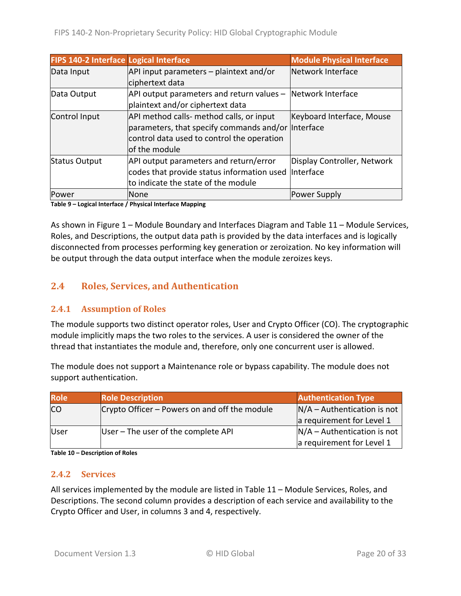| FIPS 140-2 Interface Logical Interface |                                                                 | <b>Module Physical Interface</b> |
|----------------------------------------|-----------------------------------------------------------------|----------------------------------|
| Data Input                             | API input parameters - plaintext and/or                         | Network Interface                |
|                                        | ciphertext data                                                 |                                  |
| Data Output                            | $API$ output parameters and return values $-$ Network Interface |                                  |
|                                        | plaintext and/or ciphertext data                                |                                  |
| Control Input                          | API method calls- method calls, or input                        | Keyboard Interface, Mouse        |
|                                        | parameters, that specify commands and/or Interface              |                                  |
|                                        | control data used to control the operation                      |                                  |
|                                        | of the module                                                   |                                  |
| <b>Status Output</b>                   | API output parameters and return/error                          | Display Controller, Network      |
|                                        | codes that provide status information used Interface            |                                  |
|                                        | to indicate the state of the module                             |                                  |
| lPower                                 | <b>None</b>                                                     | Power Supply                     |

**Table 9 – Logical Interface / Physical Interface Mapping**

As shown in Figure 1 – [Module Boundary and Interfaces Diagram](#page-18-1) and [Table 11](#page-21-0) – Module Services, Roles, [and Descriptions,](#page-21-0) the output data path is provided by the data interfaces and is logically disconnected from processes performing key generation or zeroization. No key information will be output through the data output interface when the module zeroizes keys.

### <span id="page-19-0"></span>**2.4 Roles, Services, and Authentication**

#### <span id="page-19-1"></span>**2.4.1 Assumption of Roles**

The module supports two distinct operator roles, User and Crypto Officer (CO). The cryptographic module implicitly maps the two roles to the services. A user is considered the owner of the thread that instantiates the module and, therefore, only one concurrent user is allowed.

The module does not support a Maintenance role or bypass capability. The module does not support authentication.

| <b>Role</b> | <b>Role Description</b>                       | <b>Authentication Type</b>    |
|-------------|-----------------------------------------------|-------------------------------|
| <b>CO</b>   | Crypto Officer – Powers on and off the module | $N/A -$ Authentication is not |
|             |                                               | a requirement for Level 1     |
| User        | User - The user of the complete API           | $N/A -$ Authentication is not |
|             |                                               | a requirement for Level 1     |

<span id="page-19-2"></span>**Table 10 – Description of Roles**

#### **2.4.2 Services**

All services implemented by the module are listed in Table 11 – Module [Services, Roles,](#page-21-0) and [Descriptions.](#page-21-0) The second column provides a description of each service and availability to the Crypto Officer and User, in columns 3 and 4, respectively.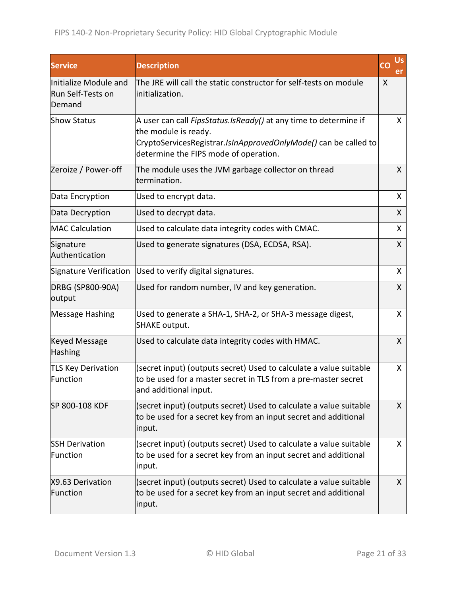| <b>Service</b>                                       | <b>Description</b>                                                                                                                                                                                   | CO | <b>Us</b><br>er |
|------------------------------------------------------|------------------------------------------------------------------------------------------------------------------------------------------------------------------------------------------------------|----|-----------------|
| Initialize Module and<br>Run Self-Tests on<br>Demand | The JRE will call the static constructor for self-tests on module<br>initialization.                                                                                                                 | X  |                 |
| <b>Show Status</b>                                   | A user can call FipsStatus.IsReady() at any time to determine if<br>the module is ready.<br>CryptoServicesRegistrar.IsInApprovedOnlyMode() can be called to<br>determine the FIPS mode of operation. |    | $\mathsf{X}$    |
| Zeroize / Power-off                                  | The module uses the JVM garbage collector on thread<br>termination.                                                                                                                                  |    | X               |
| Data Encryption                                      | Used to encrypt data.                                                                                                                                                                                |    | X               |
| Data Decryption                                      | Used to decrypt data.                                                                                                                                                                                |    | X               |
| <b>MAC Calculation</b>                               | Used to calculate data integrity codes with CMAC.                                                                                                                                                    |    | X               |
| Signature<br>Authentication                          | Used to generate signatures (DSA, ECDSA, RSA).                                                                                                                                                       |    | X               |
| Signature Verification                               | Used to verify digital signatures.                                                                                                                                                                   |    | X               |
| DRBG (SP800-90A)<br>output                           | Used for random number, IV and key generation.                                                                                                                                                       |    | X               |
| <b>Message Hashing</b>                               | Used to generate a SHA-1, SHA-2, or SHA-3 message digest,<br><b>SHAKE output.</b>                                                                                                                    |    | X               |
| <b>Keyed Message</b><br>Hashing                      | Used to calculate data integrity codes with HMAC.                                                                                                                                                    |    | X               |
| <b>TLS Key Derivation</b><br>Function                | (secret input) (outputs secret) Used to calculate a value suitable<br>to be used for a master secret in TLS from a pre-master secret<br>and additional input.                                        |    | X               |
| SP 800-108 KDF                                       | (secret input) (outputs secret) Used to calculate a value suitable<br>to be used for a secret key from an input secret and additional<br>input.                                                      |    | X               |
| <b>SSH Derivation</b><br>Function                    | (secret input) (outputs secret) Used to calculate a value suitable<br>to be used for a secret key from an input secret and additional<br>input.                                                      |    | X               |
| X9.63 Derivation<br>Function                         | (secret input) (outputs secret) Used to calculate a value suitable<br>to be used for a secret key from an input secret and additional<br>input.                                                      |    | $\mathsf{X}$    |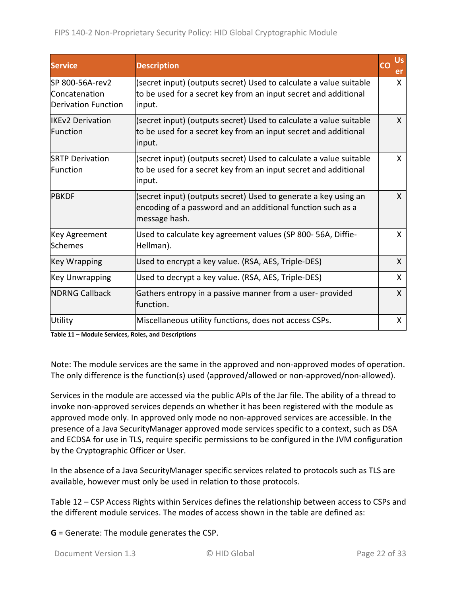| <b>Service</b>                                                  | <b>Description</b>                                                                                                                              | CO | Us<br>er     |
|-----------------------------------------------------------------|-------------------------------------------------------------------------------------------------------------------------------------------------|----|--------------|
| lSP 800-56A-rev2<br>Concatenation<br><b>Derivation Function</b> | (secret input) (outputs secret) Used to calculate a value suitable<br>to be used for a secret key from an input secret and additional<br>input. |    | X            |
| <b>IIKFv2 Derivation</b><br>Function                            | (secret input) (outputs secret) Used to calculate a value suitable<br>to be used for a secret key from an input secret and additional<br>input. |    | X            |
| <b>ISRTP Derivation</b><br>Function                             | (secret input) (outputs secret) Used to calculate a value suitable<br>to be used for a secret key from an input secret and additional<br>input. |    | X            |
| <b>PBKDF</b>                                                    | (secret input) (outputs secret) Used to generate a key using an<br>encoding of a password and an additional function such as a<br>message hash. |    | X            |
| Key Agreement<br>lSchemes                                       | Used to calculate key agreement values (SP 800-56A, Diffie-<br>Hellman).                                                                        |    | X            |
| Key Wrapping                                                    | Used to encrypt a key value. (RSA, AES, Triple-DES)                                                                                             |    | X            |
| Key Unwrapping                                                  | Used to decrypt a key value. (RSA, AES, Triple-DES)                                                                                             |    | X            |
| <b>INDRNG Callback</b>                                          | Gathers entropy in a passive manner from a user-provided<br>function.                                                                           |    | $\mathsf{X}$ |
| Utility                                                         | Miscellaneous utility functions, does not access CSPs.                                                                                          |    | X            |

<span id="page-21-0"></span>**Table 11 – Module Services, Roles, and Descriptions**

Note: The module services are the same in the approved and non-approved modes of operation. The only difference is the function(s) used (approved/allowed or non-approved/non-allowed).

Services in the module are accessed via the public APIs of the Jar file. The ability of a thread to invoke non-approved services depends on whether it has been registered with the module as approved mode only. In approved only mode no non-approved services are accessible. In the presence of a Java SecurityManager approved mode services specific to a context, such as DSA and ECDSA for use in TLS, require specific permissions to be configured in the JVM configuration by the Cryptographic Officer or User.

In the absence of a Java SecurityManager specific services related to protocols such as TLS are available, however must only be used in relation to those protocols.

Table 12 – [CSP Access Rights within Services](#page-23-0) defines the relationship between access to CSPs and the different module services. The modes of access shown in the table are defined as:

**G** = Generate: The module generates the CSP.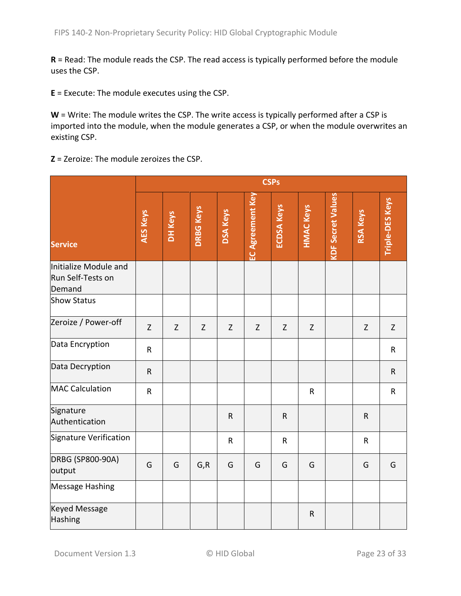**R** = Read: The module reads the CSP. The read access is typically performed before the module uses the CSP.

**E** = Execute: The module executes using the CSP.

**W** = Write: The module writes the CSP. The write access is typically performed after a CSP is imported into the module, when the module generates a CSP, or when the module overwrites an existing CSP.

**Z** = Zeroize: The module zeroizes the CSP.

|                                                      | <b>CSPs</b> |         |                  |                 |                  |                   |                  |                          |                 |                        |
|------------------------------------------------------|-------------|---------|------------------|-----------------|------------------|-------------------|------------------|--------------------------|-----------------|------------------------|
| <b>Service</b>                                       | AES Keys    | DH Keys | <b>DRBG Keys</b> | <b>DSA Keys</b> | EC Agreement Key | <b>ECDSA Keys</b> | <b>HMAC Keys</b> | <b>KDF Secret Values</b> | <b>RSA Keys</b> | <b>Triple-DES Keys</b> |
| Initialize Module and<br>Run Self-Tests on<br>Demand |             |         |                  |                 |                  |                   |                  |                          |                 |                        |
| <b>Show Status</b>                                   |             |         |                  |                 |                  |                   |                  |                          |                 |                        |
| Zeroize / Power-off                                  | $\mathsf Z$ | Z       | $\mathsf Z$      | $\mathsf Z$     | $\mathsf Z$      | Z                 | Z                |                          | $\mathsf Z$     | Z                      |
| Data Encryption                                      | ${\sf R}$   |         |                  |                 |                  |                   |                  |                          |                 | $\mathsf R$            |
| Data Decryption                                      | $\mathsf R$ |         |                  |                 |                  |                   |                  |                          |                 | $\mathsf{R}$           |
| <b>MAC Calculation</b>                               | ${\sf R}$   |         |                  |                 |                  |                   | $\mathsf{R}$     |                          |                 | $\mathsf R$            |
| Signature<br>Authentication                          |             |         |                  | ${\sf R}$       |                  | $\mathsf R$       |                  |                          | $\mathsf{R}$    |                        |
| Signature Verification                               |             |         |                  | $\mathsf{R}$    |                  | ${\sf R}$         |                  |                          | $\mathsf{R}$    |                        |
| DRBG (SP800-90A)<br>output                           | G           | G       | G, R             | G               | G                | G                 | G                |                          | G               | G                      |
| <b>Message Hashing</b>                               |             |         |                  |                 |                  |                   |                  |                          |                 |                        |
| <b>Keyed Message</b><br>Hashing                      |             |         |                  |                 |                  |                   | ${\sf R}$        |                          |                 |                        |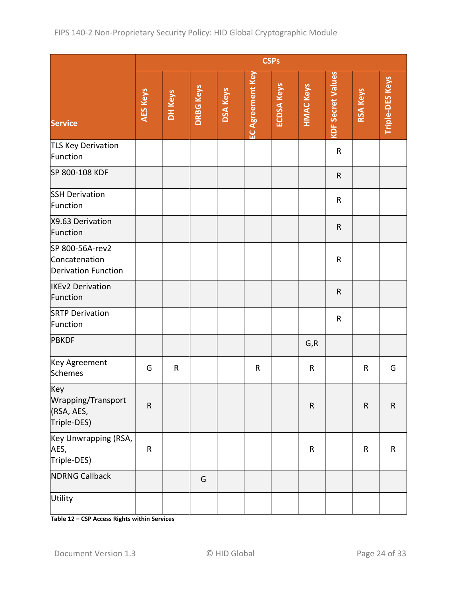|                                                         | <b>CSPs</b> |             |                  |                 |                         |                   |                  |                          |                 |                 |
|---------------------------------------------------------|-------------|-------------|------------------|-----------------|-------------------------|-------------------|------------------|--------------------------|-----------------|-----------------|
| <b>Service</b>                                          | AES Keys    | DH Keys     | <b>DRBG Keys</b> | <b>DSA Keys</b> | <b>EC Agreement Key</b> | <b>ECDSA Keys</b> | <b>HMAC Keys</b> | <b>KDF Secret Values</b> | <b>RSA Keys</b> | Triple-DES Keys |
| TLS Key Derivation<br>Function                          |             |             |                  |                 |                         |                   |                  | $\mathsf R$              |                 |                 |
| SP 800-108 KDF                                          |             |             |                  |                 |                         |                   |                  | $\mathsf{R}$             |                 |                 |
| <b>SSH Derivation</b><br>Function                       |             |             |                  |                 |                         |                   |                  | ${\sf R}$                |                 |                 |
| X9.63 Derivation<br>Function                            |             |             |                  |                 |                         |                   |                  | ${\sf R}$                |                 |                 |
| SP 800-56A-rev2<br>Concatenation<br>Derivation Function |             |             |                  |                 |                         |                   |                  | ${\sf R}$                |                 |                 |
| <b>IKEv2 Derivation</b><br>Function                     |             |             |                  |                 |                         |                   |                  | $\mathsf R$              |                 |                 |
| <b>SRTP Derivation</b><br>Function                      |             |             |                  |                 |                         |                   |                  | $\mathsf R$              |                 |                 |
| <b>PBKDF</b>                                            |             |             |                  |                 |                         |                   | G, R             |                          |                 |                 |
| Key Agreement<br>Schemes                                | G           | $\mathsf R$ |                  |                 | $\mathsf R$             |                   | R                |                          | $\mathsf R$     | G               |
| Key<br>Wrapping/Transport<br>(RSA, AES,<br>Triple-DES)  | ${\sf R}$   |             |                  |                 |                         |                   | ${\sf R}$        |                          | ${\sf R}$       | ${\sf R}$       |
| Key Unwrapping (RSA,<br>AES,<br>Triple-DES)             | $\sf R$     |             |                  |                 |                         |                   | ${\sf R}$        |                          | ${\sf R}$       | ${\sf R}$       |
| <b>NDRNG Callback</b>                                   |             |             | G                |                 |                         |                   |                  |                          |                 |                 |
| Utility                                                 |             |             |                  |                 |                         |                   |                  |                          |                 |                 |

<span id="page-23-0"></span>**Table 12 – CSP Access Rights within Services**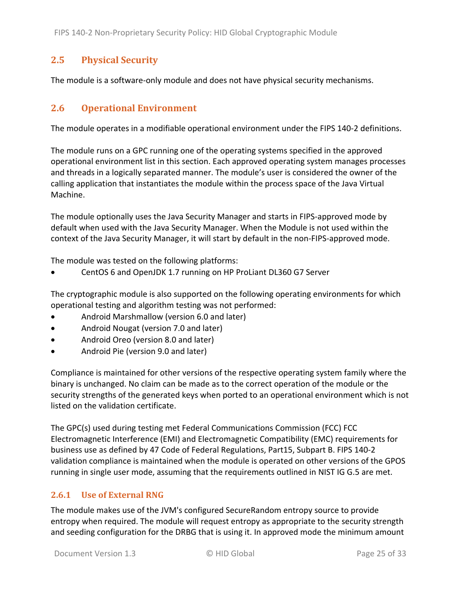### <span id="page-24-0"></span>**2.5 Physical Security**

<span id="page-24-1"></span>The module is a software-only module and does not have physical security mechanisms.

### **2.6 Operational Environment**

The module operates in a modifiable operational environment under the FIPS 140-2 definitions.

The module runs on a GPC running one of the operating systems specified in the approved operational environment list in this section. Each approved operating system manages processes and threads in a logically separated manner. The module's user is considered the owner of the calling application that instantiates the module within the process space of the Java Virtual Machine.

The module optionally uses the Java Security Manager and starts in FIPS-approved mode by default when used with the Java Security Manager. When the Module is not used within the context of the Java Security Manager, it will start by default in the non-FIPS-approved mode.

The module was tested on the following platforms:

• CentOS 6 and OpenJDK 1.7 running on HP ProLiant DL360 G7 Server

The cryptographic module is also supported on the following operating environments for which operational testing and algorithm testing was not performed:

- Android Marshmallow (version 6.0 and later)
- Android Nougat (version 7.0 and later)
- Android Oreo (version 8.0 and later)
- Android Pie (version 9.0 and later)

Compliance is maintained for other versions of the respective operating system family where the binary is unchanged. No claim can be made as to the correct operation of the module or the security strengths of the generated keys when ported to an operational environment which is not listed on the validation certificate.

The GPC(s) used during testing met Federal Communications Commission (FCC) FCC Electromagnetic Interference (EMI) and Electromagnetic Compatibility (EMC) requirements for business use as defined by 47 Code of Federal Regulations, Part15, Subpart B. FIPS 140-2 validation compliance is maintained when the module is operated on other versions of the GPOS running in single user mode, assuming that the requirements outlined in NIST IG G.5 are met.

#### <span id="page-24-2"></span>**2.6.1 Use of External RNG**

The module makes use of the JVM's configured SecureRandom entropy source to provide entropy when required. The module will request entropy as appropriate to the security strength and seeding configuration for the DRBG that is using it. In approved mode the minimum amount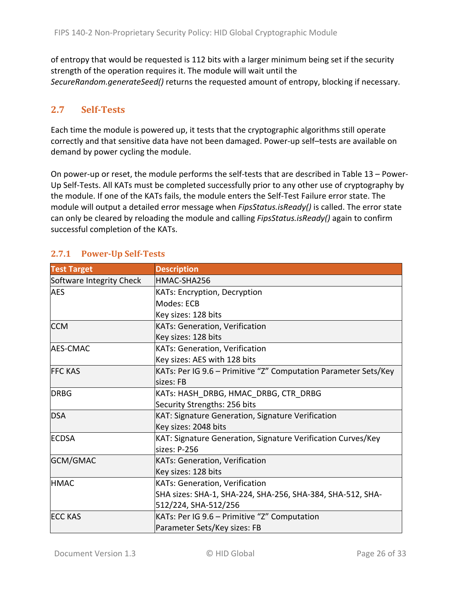of entropy that would be requested is 112 bits with a larger minimum being set if the security strength of the operation requires it. The module will wait until the *SecureRandom.generateSeed()* returns the requested amount of entropy, blocking if necessary.

### <span id="page-25-0"></span>**2.7 Self-Tests**

Each time the module is powered up, it tests that the cryptographic algorithms still operate correctly and that sensitive data have not been damaged. Power-up self–tests are available on demand by power cycling the module.

On power-up or reset, the module performs the self-tests that are described in [Table 13](#page-26-1) – Power-[Up Self-Tests.](#page-26-1) All KATs must be completed successfully prior to any other use of cryptography by the module. If one of the KATs fails, the module enters the Self-Test Failure error state. The module will output a detailed error message when *FipsStatus.isReady()* is called. The error state can only be cleared by reloading the module and calling *FipsStatus.isReady()* again to confirm successful completion of the KATs.

| <b>Test Target</b>       | <b>Description</b>                                              |
|--------------------------|-----------------------------------------------------------------|
| Software Integrity Check | HMAC-SHA256                                                     |
| <b>AES</b>               | KATs: Encryption, Decryption                                    |
|                          | Modes: ECB                                                      |
|                          | Key sizes: 128 bits                                             |
| <b>CCM</b>               | <b>KATs: Generation, Verification</b>                           |
|                          | Key sizes: 128 bits                                             |
| <b>AES-CMAC</b>          | <b>KATs: Generation, Verification</b>                           |
|                          | Key sizes: AES with 128 bits                                    |
| <b>FFC KAS</b>           | KATs: Per IG 9.6 – Primitive "Z" Computation Parameter Sets/Key |
|                          | sizes: FB                                                       |
| <b>DRBG</b>              | KATs: HASH DRBG, HMAC DRBG, CTR DRBG                            |
|                          | Security Strengths: 256 bits                                    |
| <b>DSA</b>               | <b>KAT: Signature Generation, Signature Verification</b>        |
|                          | Key sizes: 2048 bits                                            |
| <b>ECDSA</b>             | KAT: Signature Generation, Signature Verification Curves/Key    |
|                          | sizes: P-256                                                    |
| <b>GCM/GMAC</b>          | <b>KATs: Generation, Verification</b>                           |
|                          | Key sizes: 128 bits                                             |
| <b>HMAC</b>              | <b>KATs: Generation, Verification</b>                           |
|                          | SHA sizes: SHA-1, SHA-224, SHA-256, SHA-384, SHA-512, SHA-      |
|                          | 512/224, SHA-512/256                                            |
| <b>ECC KAS</b>           | KATs: Per IG 9.6 – Primitive "Z" Computation                    |
|                          | Parameter Sets/Key sizes: FB                                    |

### <span id="page-25-1"></span>**2.7.1 Power-Up Self-Tests**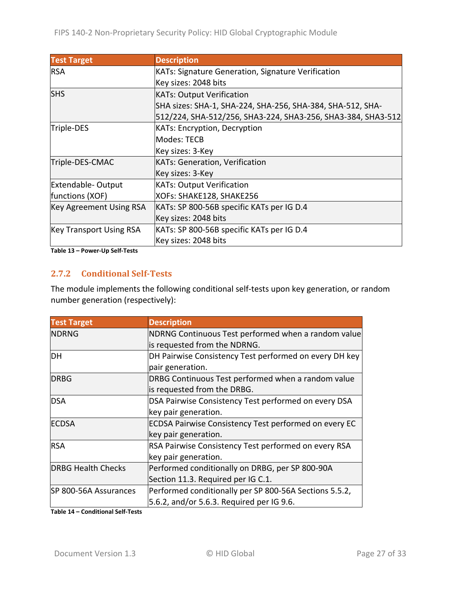| <b>Test Target</b>             | <b>Description</b>                                           |
|--------------------------------|--------------------------------------------------------------|
| <b>RSA</b>                     | KATs: Signature Generation, Signature Verification           |
|                                | Key sizes: 2048 bits                                         |
| <b>SHS</b>                     | <b>KATs: Output Verification</b>                             |
|                                | SHA sizes: SHA-1, SHA-224, SHA-256, SHA-384, SHA-512, SHA-   |
|                                | 512/224, SHA-512/256, SHA3-224, SHA3-256, SHA3-384, SHA3-512 |
| Triple-DES                     | <b>KATs: Encryption, Decryption</b>                          |
|                                | Modes: TECB                                                  |
|                                | Key sizes: 3-Key                                             |
| Triple-DES-CMAC                | <b>KATs: Generation, Verification</b>                        |
|                                | Key sizes: 3-Key                                             |
| Extendable-Output              | <b>KATs: Output Verification</b>                             |
| functions (XOF)                | XOFs: SHAKE128, SHAKE256                                     |
| <b>Key Agreement Using RSA</b> | KATs: SP 800-56B specific KATs per IG D.4                    |
|                                | Key sizes: 2048 bits                                         |
| <b>Key Transport Using RSA</b> | KATs: SP 800-56B specific KATs per IG D.4                    |
|                                | Key sizes: 2048 bits                                         |

<span id="page-26-1"></span><span id="page-26-0"></span>**Table 13 – Power-Up Self-Tests**

#### **2.7.2 Conditional Self-Tests**

The module implements the following conditional self-tests upon key generation, or random number generation (respectively):

| <b>Test Target</b>        | <b>Description</b>                                           |
|---------------------------|--------------------------------------------------------------|
| <b>NDRNG</b>              | NDRNG Continuous Test performed when a random value          |
|                           | is requested from the NDRNG.                                 |
| DH                        | DH Pairwise Consistency Test performed on every DH key       |
|                           | pair generation.                                             |
| <b>DRBG</b>               | DRBG Continuous Test performed when a random value           |
|                           | is requested from the DRBG.                                  |
| <b>DSA</b>                | DSA Pairwise Consistency Test performed on every DSA         |
|                           | key pair generation.                                         |
| <b>ECDSA</b>              | <b>ECDSA Pairwise Consistency Test performed on every EC</b> |
|                           | key pair generation.                                         |
| <b>RSA</b>                | RSA Pairwise Consistency Test performed on every RSA         |
|                           | key pair generation.                                         |
| <b>DRBG Health Checks</b> | Performed conditionally on DRBG, per SP 800-90A              |
|                           | Section 11.3. Required per IG C.1.                           |
| SP 800-56A Assurances     | Performed conditionally per SP 800-56A Sections 5.5.2,       |
|                           | 5.6.2, and/or 5.6.3. Required per IG 9.6.                    |

**Table 14 – Conditional Self-Tests**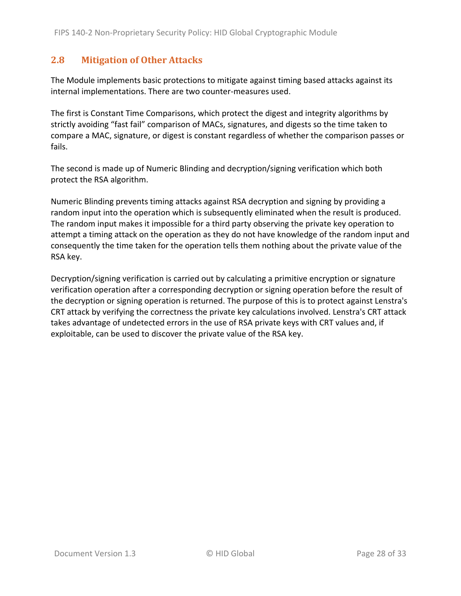### <span id="page-27-0"></span>**2.8 Mitigation of Other Attacks**

The Module implements basic protections to mitigate against timing based attacks against its internal implementations. There are two counter-measures used.

The first is Constant Time Comparisons, which protect the digest and integrity algorithms by strictly avoiding "fast fail" comparison of MACs, signatures, and digests so the time taken to compare a MAC, signature, or digest is constant regardless of whether the comparison passes or fails.

The second is made up of Numeric Blinding and decryption/signing verification which both protect the RSA algorithm.

Numeric Blinding prevents timing attacks against RSA decryption and signing by providing a random input into the operation which is subsequently eliminated when the result is produced. The random input makes it impossible for a third party observing the private key operation to attempt a timing attack on the operation as they do not have knowledge of the random input and consequently the time taken for the operation tells them nothing about the private value of the RSA key.

Decryption/signing verification is carried out by calculating a primitive encryption or signature verification operation after a corresponding decryption or signing operation before the result of the decryption or signing operation is returned. The purpose of this is to protect against Lenstra's CRT attack by verifying the correctness the private key calculations involved. Lenstra's CRT attack takes advantage of undetected errors in the use of RSA private keys with CRT values and, if exploitable, can be used to discover the private value of the RSA key.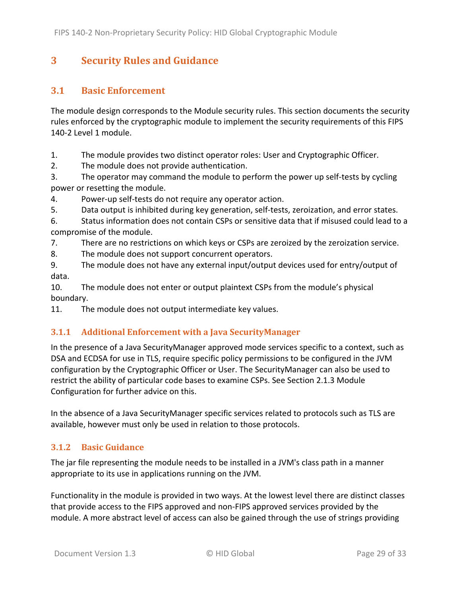## <span id="page-28-0"></span>**3 Security Rules and Guidance**

### <span id="page-28-1"></span>**3.1 Basic Enforcement**

The module design corresponds to the Module security rules. This section documents the security rules enforced by the cryptographic module to implement the security requirements of this FIPS 140-2 Level 1 module.

1. The module provides two distinct operator roles: User and Cryptographic Officer.

2. The module does not provide authentication.

3. The operator may command the module to perform the power up self-tests by cycling power or resetting the module.

4. Power-up self-tests do not require any operator action.

5. Data output is inhibited during key generation, self-tests, zeroization, and error states.

6. Status information does not contain CSPs or sensitive data that if misused could lead to a compromise of the module.

7. There are no restrictions on which keys or CSPs are zeroized by the zeroization service.

8. The module does not support concurrent operators.

9. The module does not have any external input/output devices used for entry/output of data.

10. The module does not enter or output plaintext CSPs from the module's physical boundary.

<span id="page-28-4"></span><span id="page-28-2"></span>11. The module does not output intermediate key values.

#### **3.1.1 Additional Enforcement with a Java SecurityManager**

In the presence of a Java SecurityManager approved mode services specific to a context, such as DSA and ECDSA for use in TLS, require specific policy permissions to be configured in the JVM configuration by the Cryptographic Officer or User. The SecurityManager can also be used to restrict the ability of particular code bases to examine CSPs. See Section [2.1.3](#page-6-0) Module Configuration for further advice on this.

In the absence of a Java SecurityManager specific services related to protocols such as TLS are available, however must only be used in relation to those protocols.

### <span id="page-28-3"></span>**3.1.2 Basic Guidance**

The jar file representing the module needs to be installed in a JVM's class path in a manner appropriate to its use in applications running on the JVM.

Functionality in the module is provided in two ways. At the lowest level there are distinct classes that provide access to the FIPS approved and non-FIPS approved services provided by the module. A more abstract level of access can also be gained through the use of strings providing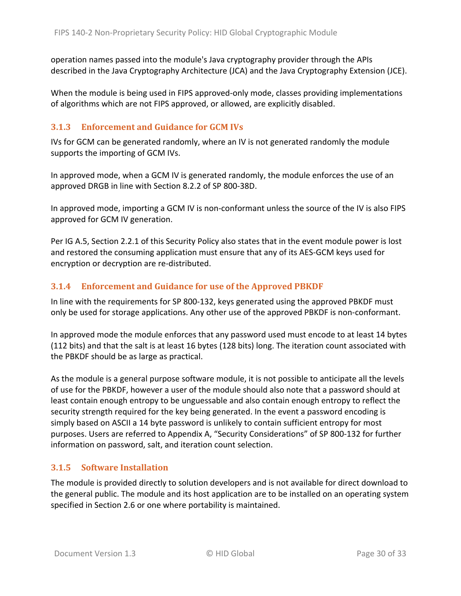operation names passed into the module's Java cryptography provider through the APIs described in the Java Cryptography Architecture (JCA) and the Java Cryptography Extension (JCE).

When the module is being used in FIPS approved-only mode, classes providing implementations of algorithms which are not FIPS approved, or allowed, are explicitly disabled.

#### <span id="page-29-0"></span>**3.1.3 Enforcement and Guidance for GCM IVs**

IVs for GCM can be generated randomly, where an IV is not generated randomly the module supports the importing of GCM IVs.

In approved mode, when a GCM IV is generated randomly, the module enforces the use of an approved DRGB in line with Section 8.2.2 of SP 800-38D.

In approved mode, importing a GCM IV is non-conformant unless the source of the IV is also FIPS approved for GCM IV generation.

Per IG A.5, Section [2.2.1](#page-15-1) of this Security Policy also states that in the event module power is lost and restored the consuming application must ensure that any of its AES-GCM keys used for encryption or decryption are re-distributed.

#### <span id="page-29-1"></span>**3.1.4 Enforcement and Guidance for use of the Approved PBKDF**

In line with the requirements for SP 800-132, keys generated using the approved PBKDF must only be used for storage applications. Any other use of the approved PBKDF is non-conformant.

In approved mode the module enforces that any password used must encode to at least 14 bytes (112 bits) and that the salt is at least 16 bytes (128 bits) long. The iteration count associated with the PBKDF should be as large as practical.

As the module is a general purpose software module, it is not possible to anticipate all the levels of use for the PBKDF, however a user of the module should also note that a password should at least contain enough entropy to be unguessable and also contain enough entropy to reflect the security strength required for the key being generated. In the event a password encoding is simply based on ASCII a 14 byte password is unlikely to contain sufficient entropy for most purposes. Users are referred to Appendix A, "Security Considerations" of SP 800-132 for further information on password, salt, and iteration count selection.

#### <span id="page-29-2"></span>**3.1.5 Software Installation**

The module is provided directly to solution developers and is not available for direct download to the general public. The module and its host application are to be installed on an operating system specified in Section [2.6](#page-24-1) or one where portability is maintained.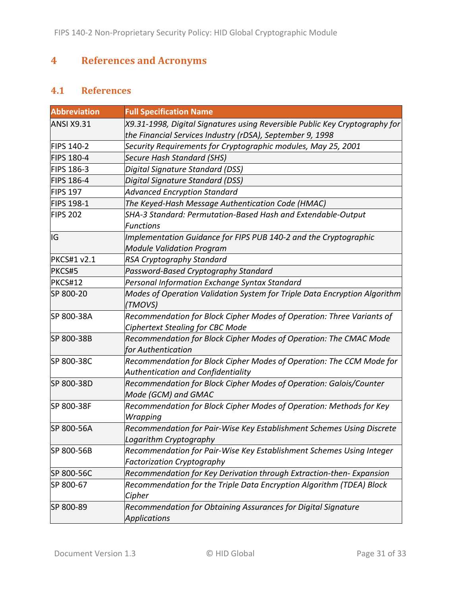## <span id="page-30-0"></span>**4 References and Acronyms**

### <span id="page-30-1"></span>**4.1 References**

| <b>Abbreviation</b> | <b>Full Specification Name</b>                                                                                                           |
|---------------------|------------------------------------------------------------------------------------------------------------------------------------------|
| <b>ANSI X9.31</b>   | X9.31-1998, Digital Signatures using Reversible Public Key Cryptography for<br>the Financial Services Industry (rDSA), September 9, 1998 |
| <b>FIPS 140-2</b>   | Security Requirements for Cryptographic modules, May 25, 2001                                                                            |
| <b>FIPS 180-4</b>   | <b>Secure Hash Standard (SHS)</b>                                                                                                        |
| <b>FIPS 186-3</b>   | Digital Signature Standard (DSS)                                                                                                         |
| <b>FIPS 186-4</b>   | Digital Signature Standard (DSS)                                                                                                         |
| <b>FIPS 197</b>     | <b>Advanced Encryption Standard</b>                                                                                                      |
| <b>FIPS 198-1</b>   | The Keyed-Hash Message Authentication Code (HMAC)                                                                                        |
| <b>FIPS 202</b>     | SHA-3 Standard: Permutation-Based Hash and Extendable-Output<br><b>Functions</b>                                                         |
| IG                  | Implementation Guidance for FIPS PUB 140-2 and the Cryptographic<br><b>Module Validation Program</b>                                     |
| <b>PKCS#1 v2.1</b>  | <b>RSA Cryptography Standard</b>                                                                                                         |
| PKCS#5              | Password-Based Cryptography Standard                                                                                                     |
| <b>PKCS#12</b>      | Personal Information Exchange Syntax Standard                                                                                            |
| SP 800-20           | Modes of Operation Validation System for Triple Data Encryption Algorithm<br>(TMOVS)                                                     |
| SP 800-38A          | Recommendation for Block Cipher Modes of Operation: Three Variants of<br><b>Ciphertext Stealing for CBC Mode</b>                         |
| SP 800-38B          | Recommendation for Block Cipher Modes of Operation: The CMAC Mode<br>for Authentication                                                  |
| SP 800-38C          | Recommendation for Block Cipher Modes of Operation: The CCM Mode for<br>Authentication and Confidentiality                               |
| SP 800-38D          | Recommendation for Block Cipher Modes of Operation: Galois/Counter<br>Mode (GCM) and GMAC                                                |
| SP 800-38F          | Recommendation for Block Cipher Modes of Operation: Methods for Key<br>Wrapping                                                          |
| SP 800-56A          | Recommendation for Pair-Wise Key Establishment Schemes Using Discrete<br>Logarithm Cryptography                                          |
| SP 800-56B          | Recommendation for Pair-Wise Key Establishment Schemes Using Integer<br><b>Factorization Cryptography</b>                                |
| SP 800-56C          | Recommendation for Key Derivation through Extraction-then- Expansion                                                                     |
| SP 800-67           | Recommendation for the Triple Data Encryption Algorithm (TDEA) Block<br>Cipher                                                           |
| SP 800-89           | Recommendation for Obtaining Assurances for Digital Signature<br><b>Applications</b>                                                     |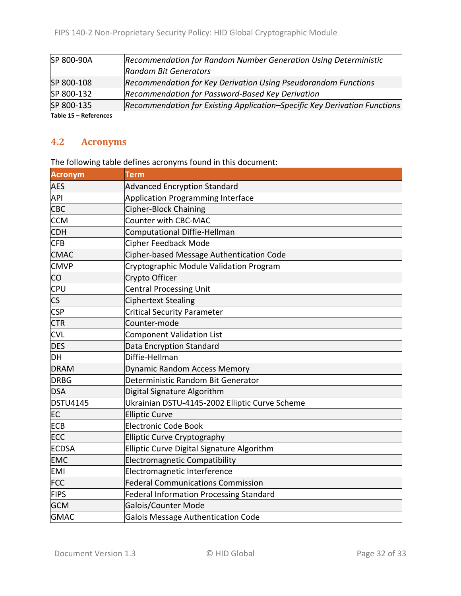| SP 800-90A          | Recommendation for Random Number Generation Using Deterministic           |
|---------------------|---------------------------------------------------------------------------|
|                     | <b>Random Bit Generators</b>                                              |
| SP 800-108          | Recommendation for Key Derivation Using Pseudorandom Functions            |
| SP 800-132          | Recommendation for Password-Based Key Derivation                          |
| SP 800-135          | Recommendation for Existing Application-Specific Key Derivation Functions |
| Table 45 Bafanensas |                                                                           |

<span id="page-31-0"></span>**Table 15 – References**

### **4.2 Acronyms**

The following table defines acronyms found in this document:

| <b>Acronym</b>           | <b>Term</b>                                    |
|--------------------------|------------------------------------------------|
| <b>AES</b>               | <b>Advanced Encryption Standard</b>            |
| API                      | Application Programming Interface              |
| <b>CBC</b>               | Cipher-Block Chaining                          |
| <b>CCM</b>               | Counter with CBC-MAC                           |
| <b>CDH</b>               | Computational Diffie-Hellman                   |
| <b>CFB</b>               | <b>Cipher Feedback Mode</b>                    |
| <b>CMAC</b>              | Cipher-based Message Authentication Code       |
| <b>CMVP</b>              | Cryptographic Module Validation Program        |
| CO                       | Crypto Officer                                 |
| <b>CPU</b>               | <b>Central Processing Unit</b>                 |
| $\mathsf{CS}\phantom{0}$ | <b>Ciphertext Stealing</b>                     |
| <b>CSP</b>               | <b>Critical Security Parameter</b>             |
| <b>CTR</b>               | Counter-mode                                   |
| <b>CVL</b>               | <b>Component Validation List</b>               |
| <b>DES</b>               | Data Encryption Standard                       |
| DH                       | Diffie-Hellman                                 |
| <b>DRAM</b>              | <b>Dynamic Random Access Memory</b>            |
| <b>DRBG</b>              | Deterministic Random Bit Generator             |
| <b>DSA</b>               | Digital Signature Algorithm                    |
| <b>DSTU4145</b>          | Ukrainian DSTU-4145-2002 Elliptic Curve Scheme |
| EC                       | <b>Elliptic Curve</b>                          |
| <b>ECB</b>               | <b>Electronic Code Book</b>                    |
| <b>ECC</b>               | <b>Elliptic Curve Cryptography</b>             |
| <b>ECDSA</b>             | Elliptic Curve Digital Signature Algorithm     |
| <b>EMC</b>               | <b>Electromagnetic Compatibility</b>           |
| <b>EMI</b>               | Electromagnetic Interference                   |
| <b>FCC</b>               | <b>Federal Communications Commission</b>       |
| <b>FIPS</b>              | <b>Federal Information Processing Standard</b> |
| <b>GCM</b>               | <b>Galois/Counter Mode</b>                     |
| <b>GMAC</b>              | Galois Message Authentication Code             |